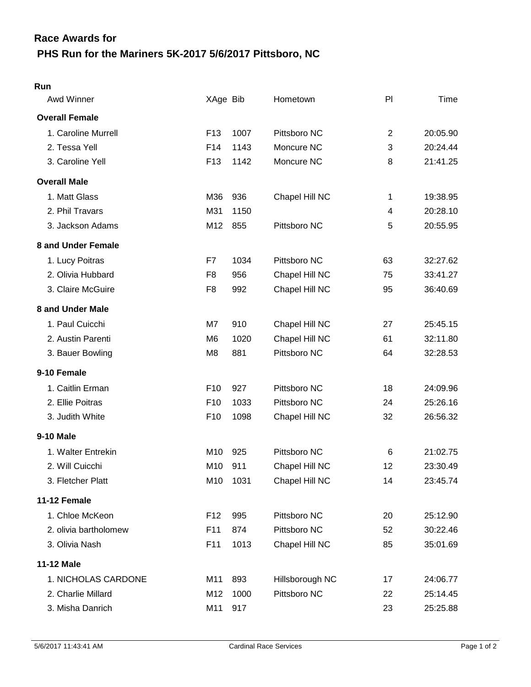# **PHS Run for the Mariners 5K-2017 5/6/2017 Pittsboro, NC Race Awards for**

#### **Run**

| Awd Winner            | XAge Bib        |      | Hometown        | P  | Time     |
|-----------------------|-----------------|------|-----------------|----|----------|
| <b>Overall Female</b> |                 |      |                 |    |          |
| 1. Caroline Murrell   | F <sub>13</sub> | 1007 | Pittsboro NC    | 2  | 20:05.90 |
| 2. Tessa Yell         | F14             | 1143 | Moncure NC      | 3  | 20:24.44 |
| 3. Caroline Yell      | F <sub>13</sub> | 1142 | Moncure NC      | 8  | 21:41.25 |
| <b>Overall Male</b>   |                 |      |                 |    |          |
| 1. Matt Glass         | M36             | 936  | Chapel Hill NC  | 1  | 19:38.95 |
| 2. Phil Travars       | M31             | 1150 |                 | 4  | 20:28.10 |
| 3. Jackson Adams      | M12             | 855  | Pittsboro NC    | 5  | 20:55.95 |
| 8 and Under Female    |                 |      |                 |    |          |
| 1. Lucy Poitras       | F7              | 1034 | Pittsboro NC    | 63 | 32:27.62 |
| 2. Olivia Hubbard     | F <sub>8</sub>  | 956  | Chapel Hill NC  | 75 | 33:41.27 |
| 3. Claire McGuire     | F <sub>8</sub>  | 992  | Chapel Hill NC  | 95 | 36:40.69 |
| 8 and Under Male      |                 |      |                 |    |          |
| 1. Paul Cuicchi       | M7              | 910  | Chapel Hill NC  | 27 | 25:45.15 |
| 2. Austin Parenti     | M <sub>6</sub>  | 1020 | Chapel Hill NC  | 61 | 32:11.80 |
| 3. Bauer Bowling      | M <sub>8</sub>  | 881  | Pittsboro NC    | 64 | 32:28.53 |
| 9-10 Female           |                 |      |                 |    |          |
| 1. Caitlin Erman      | F <sub>10</sub> | 927  | Pittsboro NC    | 18 | 24:09.96 |
| 2. Ellie Poitras      | F <sub>10</sub> | 1033 | Pittsboro NC    | 24 | 25:26.16 |
| 3. Judith White       | F <sub>10</sub> | 1098 | Chapel Hill NC  | 32 | 26:56.32 |
| <b>9-10 Male</b>      |                 |      |                 |    |          |
| 1. Walter Entrekin    | M10             | 925  | Pittsboro NC    | 6  | 21:02.75 |
| 2. Will Cuicchi       | M10             | 911  | Chapel Hill NC  | 12 | 23:30.49 |
| 3. Fletcher Platt     | M10             | 1031 | Chapel Hill NC  | 14 | 23:45.74 |
| 11-12 Female          |                 |      |                 |    |          |
| 1. Chloe McKeon       | F <sub>12</sub> | 995  | Pittsboro NC    | 20 | 25:12.90 |
| 2. olivia bartholomew | F11             | 874  | Pittsboro NC    | 52 | 30:22.46 |
| 3. Olivia Nash        | F11             | 1013 | Chapel Hill NC  | 85 | 35:01.69 |
| 11-12 Male            |                 |      |                 |    |          |
| 1. NICHOLAS CARDONE   | M11             | 893  | Hillsborough NC | 17 | 24:06.77 |
| 2. Charlie Millard    | M12             | 1000 | Pittsboro NC    | 22 | 25:14.45 |
| 3. Misha Danrich      | M11             | 917  |                 | 23 | 25:25.88 |